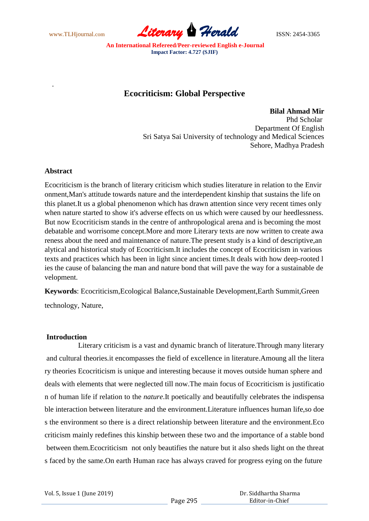www.TLHjournal.com **Literary Herald** ISSN: 2454-3365

# **Ecocriticism: Global Perspective**

**Bilal Ahmad Mir** Phd Scholar Department Of English Sri Satya Sai University of technology and Medical Sciences Sehore, Madhya Pradesh

# **Abstract**

.

Ecocriticism is the branch of literary criticism which studies literature in relation to the Envir onment,Man's attitude towards nature and the interdependent kinship that sustains the life on this planet.It us a global phenomenon which has drawn attention since very recent times only when nature started to show it's adverse effects on us which were caused by our heedlessness. But now Ecocriticism stands in the centre of anthropological arena and is becoming the most debatable and worrisome concept.More and more Literary texts are now written to create awa reness about the need and maintenance of nature.The present study is a kind of descriptive,an alytical and historical study of Ecocriticism.It includes the concept of Ecocriticism in various texts and practices which has been in light since ancient times.It deals with how deep-rooted l ies the cause of balancing the man and nature bond that will pave the way for a sustainable de velopment.

**Keywords**: Ecocriticism,Ecological Balance,Sustainable Development,Earth Summit,Green technology, Nature,

# **Introduction**

 Literary criticism is a vast and dynamic branch of literature.Through many literary and cultural theories*.*it encompasses the field of excellence in literature.Amoung all the litera ry theories Ecocriticism is unique and interesting because it moves outside human sphere and deals with elements that were neglected till now.The main focus of Ecocriticism is justificatio n of human life if relation to the *nature*.It poetically and beautifully celebrates the indispensa ble interaction between literature and the environment.Literature influences human life,so doe s the environment so there is a direct relationship between literature and the environment.Eco criticism mainly redefines this kinship between these two and the importance of a stable bond between them.Ecocriticism not only beautifies the nature but it also sheds light on the threat s faced by the same.On earth Human race has always craved for progress eying on the future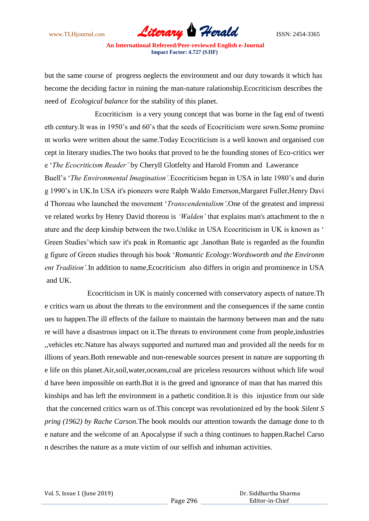www.TLHjournal.com **Literary Herald Herald** ISSN: 2454-3365

but the same course of progress neglects the environment and our duty towards it which has become the deciding factor in ruining the man-nature ralationship.Ecocriticism describes the need of *Ecological balance* for the stability of this planet.

 Ecocriticism is a very young concept that was borne in the fag end of twenti eth century.It was in 1950"s and 60"s that the seeds of Ecocriticism were sown.Some promine nt works were written about the same.Today Ecocriticism is a well known and organised con cept in literary studies.The two books that proved to be the founding stones of Eco-critics wer e "*The Ecocriticism Reader"* by Cheryll Glotfelty and Harold Fromm and Lawerance Buell"s "*The Environmental Imagination".*Ecocriticism began in USA in late 1980"s and durin g 1990"s in UK.In USA it's pioneers were Ralph Waldo Emerson,Margaret Fuller,Henry Davi d Thoreau who launched the movement "*Transcendentalism"*.One of the greatest and impressi ve related works by Henry David thoreou is *"Walden"* that explains man's attachment to the n ature and the deep kinship between the two.Unlike in USA Ecocriticism in UK is known as " Green Studies"which saw it's peak in Romantic age .Janothan Bate is regarded as the foundin g figure of Green studies through his book "*Romantic Ecology:Wordsworth and the Environm* ent Tradition'. In addition to name, Ecocriticism also differs in origin and prominence in USA and UK.

 Ecocriticism in UK is mainly concerned with conservatory aspects of nature.Th e critics warn us about the threats to the environment and the consequences if the same contin ues to happen.The ill effects of the failure to maintain the harmony between man and the natu re will have a disastrous impact on it.The threats to environment come from people,industries ,,vehicles etc.Nature has always supported and nurtured man and provided all the needs for m illions of years.Both renewable and non-renewable sources present in nature are supporting th e life on this planet.Air,soil,water,oceans,coal are priceless resources without which life woul d have been impossible on earth.But it is the greed and ignorance of man that has marred this kinships and has left the environment in a pathetic condition.It is this injustice from our side that the concerned critics warn us of.This concept was revolutionized ed by the book *Silent S pring (1962) by Rache Carson.*The book moulds our attention towards the damage done to th e nature and the welcome of an Apocalypse if such a thing continues to happen.Rachel Carso n describes the nature as a mute victim of our selfish and inhuman activities.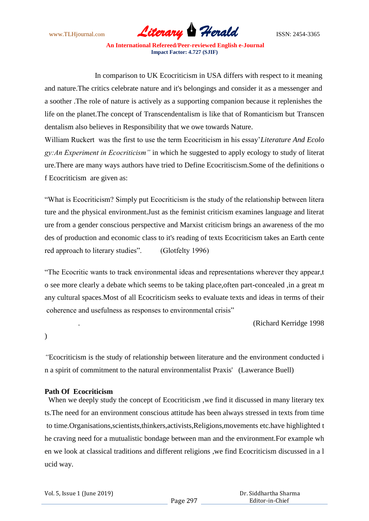www.TLHjournal.com **Literary Herald Herald** ISSN: 2454-3365

 In comparison to UK Ecocriticism in USA differs with respect to it meaning and nature.The critics celebrate nature and it's belongings and consider it as a messenger and a soother .The role of nature is actively as a supporting companion because it replenishes the life on the planet.The concept of Transcendentalism is like that of Romanticism but Transcen dentalism also believes in Responsibility that we owe towards Nature.

William Ruckert was the first to use the term Ecocriticism in his essay"*Literature And Ecolo gy:An Experiment in Ecocriticism"* in which he suggested to apply ecology to study of literat ure.There are many ways authors have tried to Define Ecocritiscism.Some of the definitions o f Ecocriticism are given as:

"What is Ecocriticism? Simply put Ecocriticism is the study of the relationship between litera ture and the physical environment.Just as the feminist criticism examines language and literat ure from a gender conscious perspective and Marxist criticism brings an awareness of the mo des of production and economic class to it's reading of texts Ecocriticism takes an Earth cente red approach to literary studies". (Glotfelty 1996)

"The Ecocritic wants to track environmental ideas and representations wherever they appear,t o see more clearly a debate which seems to be taking place,often part-concealed ,in a great m any cultural spaces.Most of all Ecocriticism seeks to evaluate texts and ideas in terms of their coherence and usefulness as responses to environmental crisis"

. (Richard Kerridge 1998

)

*"*Ecocriticism is the study of relationship between literature and the environment conducted i n a spirit of commitment to the natural environmentalist Praxis' (Lawerance Buell)

# **Path Of Ecocriticism**

 When we deeply study the concept of Ecocriticism ,we find it discussed in many literary tex ts.The need for an environment conscious attitude has been always stressed in texts from time to time.Organisations,scientists,thinkers,activists,Religions,movements etc.have highlighted t he craving need for a mutualistic bondage between man and the environment.For example wh en we look at classical traditions and different religions ,we find Ecocriticism discussed in a l ucid way.

Page 297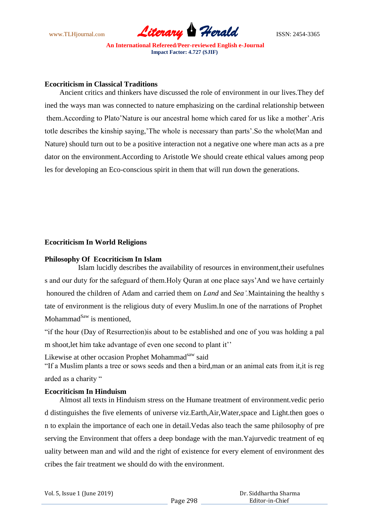

## **Ecocriticism in Classical Traditions**

 Ancient critics and thinkers have discussed the role of environment in our lives.They def ined the ways man was connected to nature emphasizing on the cardinal relationship between them.According to Plato"Nature is our ancestral home which cared for us like a mother".Aris totle describes the kinship saying, The whole is necessary than parts'. So the whole (Man and Nature) should turn out to be a positive interaction not a negative one where man acts as a pre dator on the environment.According to Aristotle We should create ethical values among peop les for developing an Eco-conscious spirit in them that will run down the generations.

## **Ecocriticism In World Religions**

#### **Philosophy Of Ecocriticism In Islam**

 Islam lucidly describes the availability of resources in environment,their usefulnes s and our duty for the safeguard of them.Holy Quran at one place says"And we have certainly honoured the children of Adam and carried them on *Land* and *Sea".*Maintaining the healthy s tate of environment is the religious duty of every Muslim.In one of the narrations of Prophet Mohammad $^{Saw}$  is mentioned.

"if the hour (Day of Resurrection)is about to be established and one of you was holding a pal m shoot, let him take advantage of even one second to plant it"

Likewise at other occasion Prophet Mohammad<sup>saw</sup> said

"If a Muslim plants a tree or sows seeds and then a bird,man or an animal eats from it,it is reg arded as a charity "

# **Ecocriticism In Hinduism**

 Almost all texts in Hinduism stress on the Humane treatment of environment.vedic perio d distinguishes the five elements of universe viz.Earth,Air,Water,space and Light.then goes o n to explain the importance of each one in detail.Vedas also teach the same philosophy of pre serving the Environment that offers a deep bondage with the man.Yajurvedic treatment of eq uality between man and wild and the right of existence for every element of environment des cribes the fair treatment we should do with the environment.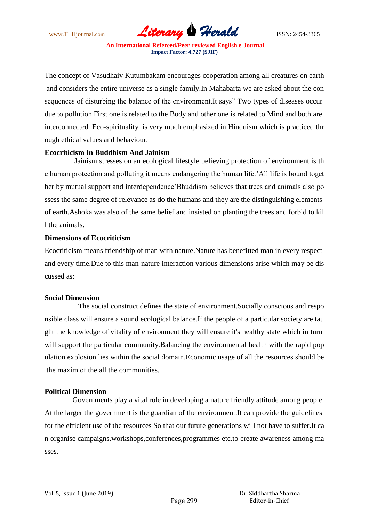

The concept of Vasudhaiv Kutumbakam encourages cooperation among all creatures on earth and considers the entire universe as a single family.In Mahabarta we are asked about the con sequences of disturbing the balance of the environment.It says" Two types of diseases occur due to pollution.First one is related to the Body and other one is related to Mind and both are interconnected .Eco-spirituality is very much emphasized in Hinduism which is practiced thr ough ethical values and behaviour.

## **Ecocriticism In Buddhism And Jainism**

 Jainism stresses on an ecological lifestyle believing protection of environment is th e human protection and polluting it means endangering the human life."All life is bound toget her by mutual support and interdependence"Bhuddism believes that trees and animals also po ssess the same degree of relevance as do the humans and they are the distinguishing elements of earth.Ashoka was also of the same belief and insisted on planting the trees and forbid to kil l the animals.

## **Dimensions of Ecocriticism**

Ecocriticism means friendship of man with nature.Nature has benefitted man in every respect and every time.Due to this man-nature interaction various dimensions arise which may be dis cussed as:

# **Social Dimension**

 The social construct defines the state of environment.Socially conscious and respo nsible class will ensure a sound ecological balance.If the people of a particular society are tau ght the knowledge of vitality of environment they will ensure it's healthy state which in turn will support the particular community.Balancing the environmental health with the rapid pop ulation explosion lies within the social domain.Economic usage of all the resources should be the maxim of the all the communities.

# **Political Dimension**

 Governments play a vital role in developing a nature friendly attitude among people. At the larger the government is the guardian of the environment.It can provide the guidelines for the efficient use of the resources So that our future generations will not have to suffer.It ca n organise campaigns,workshops,conferences,programmes etc.to create awareness among ma sses.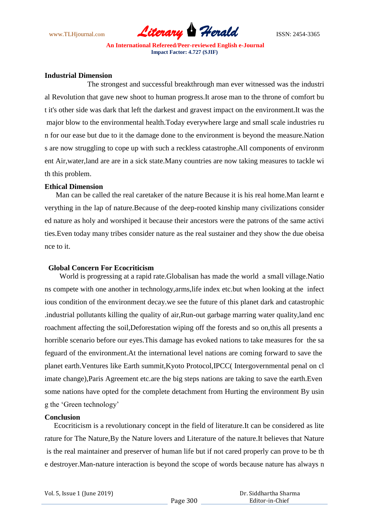

# **Industrial Dimension**

 The strongest and successful breakthrough man ever witnessed was the industri al Revolution that gave new shoot to human progress.It arose man to the throne of comfort bu t it's other side was dark that left the darkest and gravest impact on the environment.It was the major blow to the environmental health.Today everywhere large and small scale industries ru n for our ease but due to it the damage done to the environment is beyond the measure.Nation s are now struggling to cope up with such a reckless catastrophe.All components of environm ent Air,water,land are are in a sick state.Many countries are now taking measures to tackle wi th this problem.

#### **Ethical Dimension**

 Man can be called the real caretaker of the nature Because it is his real home.Man learnt e verything in the lap of nature.Because of the deep-rooted kinship many civilizations consider ed nature as holy and worshiped it because their ancestors were the patrons of the same activi ties.Even today many tribes consider nature as the real sustainer and they show the due obeisa nce to it.

# **Global Concern For Ecocriticism**

 World is progressing at a rapid rate.Globalisan has made the world a small village.Natio ns compete with one another in technology,arms,life index etc.but when looking at the infect ious condition of the environment decay.we see the future of this planet dark and catastrophic .industrial pollutants killing the quality of air,Run-out garbage marring water quality,land enc roachment affecting the soil,Deforestation wiping off the forests and so on,this all presents a horrible scenario before our eyes.This damage has evoked nations to take measures for the sa feguard of the environment.At the international level nations are coming forward to save the planet earth.Ventures like Earth summit,Kyoto Protocol,IPCC( Intergovernmental penal on cl imate change),Paris Agreement etc.are the big steps nations are taking to save the earth.Even some nations have opted for the complete detachment from Hurting the environment By usin g the "Green technology"

#### **Conclusion**

 Ecocriticism is a revolutionary concept in the field of literature.It can be considered as lite rature for The Nature,By the Nature lovers and Literature of the nature.It believes that Nature is the real maintainer and preserver of human life but if not cared properly can prove to be th e destroyer.Man-nature interaction is beyond the scope of words because nature has always n